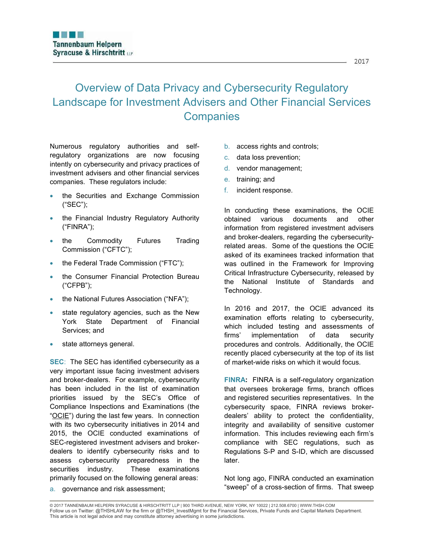# Overview of Data Privacy and Cybersecurity Regulatory Landscape for Investment Advisers and Other Financial Services **Companies**

Numerous regulatory authorities and selfregulatory organizations are now focusing intently on cybersecurity and privacy practices of investment advisers and other financial services companies. These regulators include:

- the Securities and Exchange Commission ("SEC");
- the Financial Industry Regulatory Authority ("FINRA");
- the Commodity Futures Trading Commission ("CFTC");
- the Federal Trade Commission ("FTC");
- the Consumer Financial Protection Bureau ("CFPB");
- the National Futures Association ("NFA");
- state regulatory agencies, such as the New York State Department of Financial Services; and
- state attorneys general.

**SEC**: The SEC has identified cybersecurity as a very important issue facing investment advisers and broker-dealers. For example, cybersecurity has been included in the list of examination priorities issued by the SEC's Office of Compliance Inspections and Examinations (the "OCIE") during the last few years. In connection with its two cybersecurity initiatives in 2014 and 2015, the OCIE conducted examinations of SEC-registered investment advisers and brokerdealers to identify cybersecurity risks and to assess cybersecurity preparedness in the securities industry. These examinations primarily focused on the following general areas:

a. governance and risk assessment;

- b. access rights and controls;
- c. data loss prevention;
- d. vendor management;
- e. training; and
- f. incident response.

In conducting these examinations, the OCIE obtained various documents and other information from registered investment advisers and broker-dealers, regarding the cybersecurityrelated areas. Some of the questions the OCIE asked of its examinees tracked information that was outlined in the Framework for Improving Critical Infrastructure Cybersecurity, released by the National Institute of Standards and Technology.

In 2016 and 2017, the OCIE advanced its examination efforts relating to cybersecurity, which included testing and assessments of firms' implementation of data security procedures and controls. Additionally, the OCIE recently placed cybersecurity at the top of its list of market-wide risks on which it would focus.

**FINRA:** FINRA is a self-regulatory organization that oversees brokerage firms, branch offices and registered securities representatives. In the cybersecurity space, FINRA reviews brokerdealers' ability to protect the confidentiality, integrity and availability of sensitive customer information. This includes reviewing each firm's compliance with SEC regulations, such as Regulations S-P and S-ID, which are discussed later.

Not long ago, FINRA conducted an examination "sweep" of a cross-section of firms. That sweep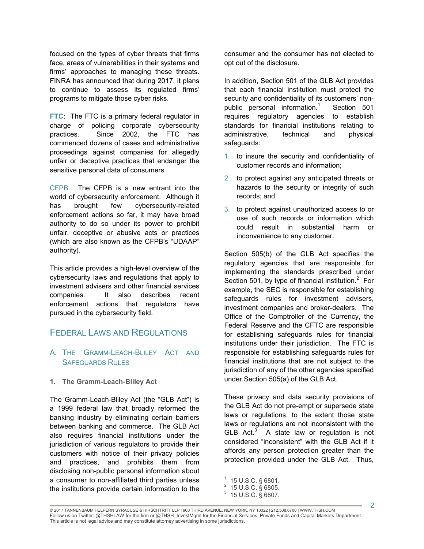focused on the types of cyber threats that firms face, areas of vulnerabilities in their systems and firms' approaches to managing these threats. FINRA has announced that during 2017, it plans to continue to assess its regulated firms' programs to mitigate those cyber risks.

**FTC**: The FTC is a primary federal regulator in charge of policing corporate cybersecurity practices. Since 2002, the FTC has commenced dozens of cases and administrative proceedings against companies for allegedly unfair or deceptive practices that endanger the sensitive personal data of consumers.

CFPB: The CFPB is a new entrant into the world of cybersecurity enforcement. Although it has brought few cybersecurity-related enforcement actions so far, it may have broad authority to do so under its power to prohibit unfair, deceptive or abusive acts or practices (which are also known as the CFPB's "UDAAP" authority).

This article provides a high-level overview of the cybersecurity laws and regulations that apply to investment advisers and other financial services companies. It also describes recent enforcement actions that regulators have pursued in the cybersecurity field.

## FEDERAL LAWS AND REGULATIONS

## A. THE GRAMM-LEACH-BLILEY ACT AND SAFEGUARDS RULES

#### **1. The Gramm-Leach-Bliley Act**

The Gramm-Leach-Bliley Act (the "GLB Act") is a 1999 federal law that broadly reformed the banking industry by eliminating certain barriers between banking and commerce. The GLB Act also requires financial institutions under the jurisdiction of various regulators to provide their customers with notice of their privacy policies and practices, and prohibits them from disclosing non-public personal information about a consumer to non-affiliated third parties unless the institutions provide certain information to the

consumer and the consumer has not elected to opt out of the disclosure.

In addition, Section 501 of the GLB Act provides that each financial institution must protect the security and confidentiality of its customers' nonpublic personal information.<sup>1</sup> Section 501 requires regulatory agencies to establish standards for financial institutions relating to administrative, technical and physical safeguards:

- 1. to insure the security and confidentiality of customer records and information;
- 2. to protect against any anticipated threats or hazards to the security or integrity of such records; and
- 3. to protect against unauthorized access to or use of such records or information which could result in substantial harm or inconvenience to any customer.

Section 505(b) of the GLB Act specifies the regulatory agencies that are responsible for implementing the standards prescribed under Section 501, by type of financial institution. $2$  For example, the SEC is responsible for establishing safeguards rules for investment advisers, investment companies and broker-dealers. The Office of the Comptroller of the Currency, the Federal Reserve and the CFTC are responsible for establishing safeguards rules for financial institutions under their jurisdiction. The FTC is responsible for establishing safeguards rules for financial institutions that are not subject to the jurisdiction of any of the other agencies specified under Section 505(a) of the GLB Act.

These privacy and data security provisions of the GLB Act do not pre-empt or supersede state laws or regulations, to the extent those state laws or regulations are not inconsistent with the GLB  $Act.^3$  A state law or regulation is not considered "inconsistent" with the GLB Act if it affords any person protection greater than the protection provided under the GLB Act. Thus,

 $\frac{1}{1}$  15 U.S.C. § 6801. 2

 <sup>15</sup> U.S.C. § 6805.

<sup>3</sup> 15 U.S.C. § 6807.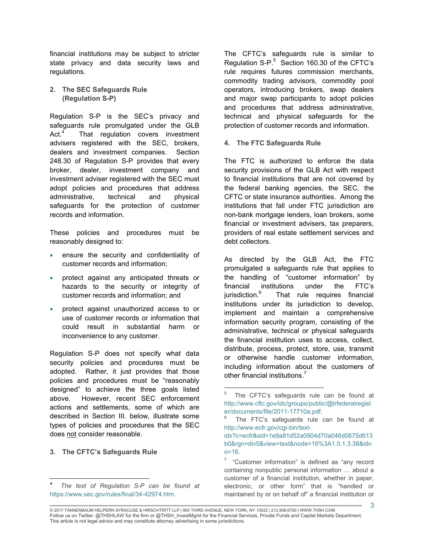financial institutions may be subject to stricter state privacy and data security laws and regulations.

**2. The SEC Safeguards Rule (Regulation S-P)**

Regulation S-P is the SEC's privacy and safeguards rule promulgated under the GLB Act.<sup>4</sup> That regulation covers investment advisers registered with the SEC, brokers, dealers and investment companies. Section 248.30 of Regulation S-P provides that every broker, dealer, investment company and investment adviser registered with the SEC must adopt policies and procedures that address administrative, technical and physical safeguards for the protection of customer records and information.

These policies and procedures must be reasonably designed to:

- ensure the security and confidentiality of customer records and information;
- protect against any anticipated threats or hazards to the security or integrity of customer records and information; and
- protect against unauthorized access to or use of customer records or information that could result in substantial harm or inconvenience to any customer.

Regulation S-P does not specify what data security policies and procedures must be adopted. Rather, it just provides that those policies and procedures must be "reasonably designed" to achieve the three goals listed above. However, recent SEC enforcement actions and settlements, some of which are described in Section III. below, illustrate some types of policies and procedures that the SEC does not consider reasonable.

#### **3. The CFTC's Safeguards Rule**

 $\overline{a}$ 

The CFTC's safeguards rule is similar to Regulation S-P. $5$  Section 160.30 of the CFTC's rule requires futures commission merchants, commodity trading advisors, commodity pool operators, introducing brokers, swap dealers and major swap participants to adopt policies and procedures that address administrative, technical and physical safeguards for the protection of customer records and information.

#### **4. The FTC Safeguards Rule**

The FTC is authorized to enforce the data security provisions of the GLB Act with respect to financial institutions that are not covered by the federal banking agencies, the SEC, the CFTC or state insurance authorities. Among the institutions that fall under FTC jurisdiction are non-bank mortgage lenders, loan brokers, some financial or investment advisers, tax preparers, providers of real estate settlement services and debt collectors.

As directed by the GLB Act, the FTC promulgated a safeguards rule that applies to the handling of "customer information" by financial institutions under the FTC's jurisdiction.<sup>6</sup> That rule requires financial institutions under its jurisdiction to develop, implement and maintain a comprehensive information security program, consisting of the administrative, technical or physical safeguards the financial institution uses to access, collect, distribute, process, protect, store, use, transmit or otherwise handle customer information, including information about the customers of other financial institutions.<sup>7</sup>

 $\overline{a}$ 

 $n = 16$ .

*<sup>4</sup> The text of Regulation S-P can be found at*  https://www.sec.gov/rules/final/34-42974.htm.

<sup>5</sup> The CFTC's safeguards rule can be found at http://www.cftc.gov/idc/groups/public/@lrfederalregist er/documents/file/2011-17710a.pdf.

<sup>6</sup> The FTC's safeguards rule can be found at http://www.ecfr.gov/cgi-bin/textidx?c=ecfr&sid=1e9a81d52a0904d70a046d0675d613 b0&rgn=div5&view=text&node=16%3A1.0.1.3.38&idn

<sup>7</sup> "Customer information" is defined as "any record containing nonpublic personal information … about a customer of a financial institution, whether in paper, electronic, or other form" that is "handled or maintained by or on behalf of" a financial institution or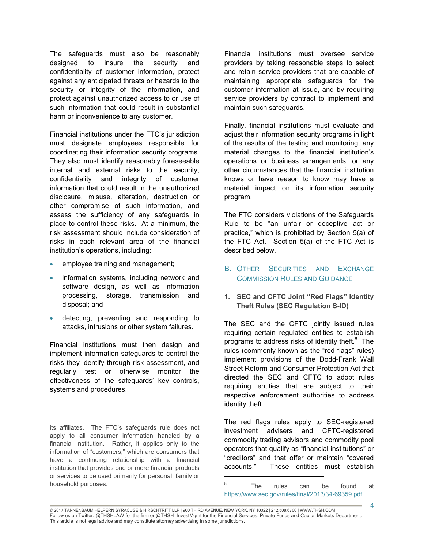The safeguards must also be reasonably designed to insure the security and confidentiality of customer information, protect against any anticipated threats or hazards to the security or integrity of the information, and protect against unauthorized access to or use of such information that could result in substantial harm or inconvenience to any customer.

Financial institutions under the FTC's jurisdiction must designate employees responsible for coordinating their information security programs. They also must identify reasonably foreseeable internal and external risks to the security, confidentiality and integrity of customer information that could result in the unauthorized disclosure, misuse, alteration, destruction or other compromise of such information, and assess the sufficiency of any safeguards in place to control these risks. At a minimum, the risk assessment should include consideration of risks in each relevant area of the financial institution's operations, including:

- employee training and management;
- information systems, including network and software design, as well as information processing, storage, transmission and disposal; and
- detecting, preventing and responding to attacks, intrusions or other system failures.

Financial institutions must then design and implement information safeguards to control the risks they identify through risk assessment, and regularly test or otherwise monitor the effectiveness of the safeguards' key controls, systems and procedures.

 $\overline{a}$ its affiliates. The FTC's safeguards rule does not apply to all consumer information handled by a financial institution. Rather, it applies only to the information of "customers," which are consumers that have a continuing relationship with a financial institution that provides one or more financial products or services to be used primarily for personal, family or household purposes.

Financial institutions must oversee service providers by taking reasonable steps to select and retain service providers that are capable of maintaining appropriate safeguards for the customer information at issue, and by requiring service providers by contract to implement and maintain such safeguards.

Finally, financial institutions must evaluate and adjust their information security programs in light of the results of the testing and monitoring, any material changes to the financial institution's operations or business arrangements, or any other circumstances that the financial institution knows or have reason to know may have a material impact on its information security program.

The FTC considers violations of the Safeguards Rule to be "an unfair or deceptive act or practice," which is prohibited by Section 5(a) of the FTC Act. Section 5(a) of the FTC Act is described below.

- B. OTHER SECURITIES AND EXCHANGE COMMISSION RULES AND GUIDANCE
- **1. SEC and CFTC Joint "Red Flags" Identity Theft Rules (SEC Regulation S-ID)**

The SEC and the CFTC jointly issued rules requiring certain regulated entities to establish programs to address risks of identity theft. $8$  The rules (commonly known as the "red flags" rules) implement provisions of the Dodd-Frank Wall Street Reform and Consumer Protection Act that directed the SEC and CFTC to adopt rules requiring entities that are subject to their respective enforcement authorities to address identity theft.

The red flags rules apply to SEC-registered investment advisers and CFTC-registered commodity trading advisors and commodity pool operators that qualify as "financial institutions" or "creditors" and that offer or maintain "covered accounts." These entities must establish

<sup>8</sup> The rules can be found at https://www.sec.gov/rules/final/2013/34-69359.pdf.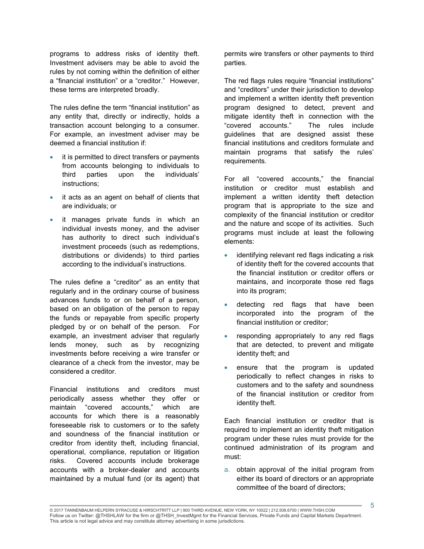programs to address risks of identity theft. Investment advisers may be able to avoid the rules by not coming within the definition of either a "financial institution" or a "creditor." However, these terms are interpreted broadly.

The rules define the term "financial institution" as any entity that, directly or indirectly, holds a transaction account belonging to a consumer. For example, an investment adviser may be deemed a financial institution if:

- it is permitted to direct transfers or payments from accounts belonging to individuals to third parties upon the individuals' instructions;
- it acts as an agent on behalf of clients that are individuals; or
- it manages private funds in which an individual invests money, and the adviser has authority to direct such individual's investment proceeds (such as redemptions, distributions or dividends) to third parties according to the individual's instructions.

The rules define a "creditor" as an entity that regularly and in the ordinary course of business advances funds to or on behalf of a person, based on an obligation of the person to repay the funds or repayable from specific property pledged by or on behalf of the person. For example, an investment adviser that regularly lends money, such as by recognizing investments before receiving a wire transfer or clearance of a check from the investor, may be considered a creditor.

Financial institutions and creditors must periodically assess whether they offer or maintain "covered accounts," which are accounts for which there is a reasonably foreseeable risk to customers or to the safety and soundness of the financial institution or creditor from identity theft, including financial, operational, compliance, reputation or litigation risks. Covered accounts include brokerage accounts with a broker-dealer and accounts maintained by a mutual fund (or its agent) that

permits wire transfers or other payments to third parties.

The red flags rules require "financial institutions" and "creditors" under their jurisdiction to develop and implement a written identity theft prevention program designed to detect, prevent and mitigate identity theft in connection with the "covered accounts." The rules include guidelines that are designed assist these financial institutions and creditors formulate and maintain programs that satisfy the rules' requirements.

For all "covered accounts," the financial institution or creditor must establish and implement a written identity theft detection program that is appropriate to the size and complexity of the financial institution or creditor and the nature and scope of its activities. Such programs must include at least the following elements:

- identifying relevant red flags indicating a risk of identity theft for the covered accounts that the financial institution or creditor offers or maintains, and incorporate those red flags into its program;
- detecting red flags that have been incorporated into the program of the financial institution or creditor;
- responding appropriately to any red flags that are detected, to prevent and mitigate identity theft; and
- ensure that the program is updated periodically to reflect changes in risks to customers and to the safety and soundness of the financial institution or creditor from identity theft.

Each financial institution or creditor that is required to implement an identity theft mitigation program under these rules must provide for the continued administration of its program and must:

a. obtain approval of the initial program from either its board of directors or an appropriate committee of the board of directors;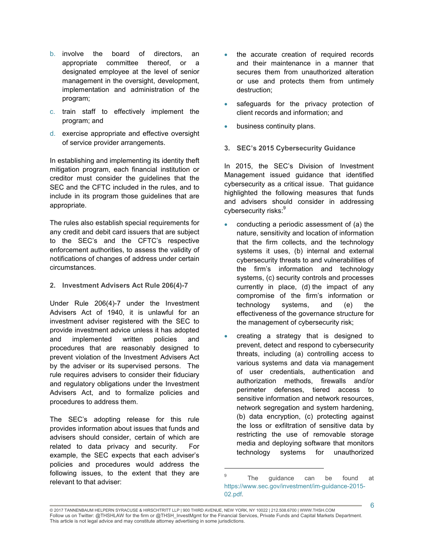- b. involve the board of directors, an appropriate committee thereof, or a designated employee at the level of senior management in the oversight, development, implementation and administration of the program;
- c. train staff to effectively implement the program; and
- d. exercise appropriate and effective oversight of service provider arrangements.

In establishing and implementing its identity theft mitigation program, each financial institution or creditor must consider the guidelines that the SEC and the CFTC included in the rules, and to include in its program those guidelines that are appropriate.

The rules also establish special requirements for any credit and debit card issuers that are subject to the SEC's and the CFTC's respective enforcement authorities, to assess the validity of notifications of changes of address under certain circumstances.

**2. Investment Advisers Act Rule 206(4)-7**

Under Rule 206(4)-7 under the Investment Advisers Act of 1940, it is unlawful for an investment adviser registered with the SEC to provide investment advice unless it has adopted and implemented written policies and procedures that are reasonably designed to prevent violation of the Investment Advisers Act by the adviser or its supervised persons. The rule requires advisers to consider their fiduciary and regulatory obligations under the Investment Advisers Act, and to formalize policies and procedures to address them.

The SEC's adopting release for this rule provides information about issues that funds and advisers should consider, certain of which are related to data privacy and security. For example, the SEC expects that each adviser's policies and procedures would address the following issues, to the extent that they are relevant to that adviser:

- the accurate creation of required records and their maintenance in a manner that secures them from unauthorized alteration or use and protects them from untimely destruction;
- safeguards for the privacy protection of client records and information; and
- business continuity plans.
- **3. SEC's 2015 Cybersecurity Guidance**

In 2015, the SEC's Division of Investment Management issued guidance that identified cybersecurity as a critical issue. That guidance highlighted the following measures that funds and advisers should consider in addressing cybersecurity risks:<sup>9</sup>

- conducting a periodic assessment of (a) the nature, sensitivity and location of information that the firm collects, and the technology systems it uses, (b) internal and external cybersecurity threats to and vulnerabilities of the firm's information and technology systems, (c) security controls and processes currently in place, (d) the impact of any compromise of the firm's information or technology systems, and (e) the effectiveness of the governance structure for the management of cybersecurity risk;
- creating a strategy that is designed to prevent, detect and respond to cybersecurity threats, including (a) controlling access to various systems and data via management of user credentials, authentication and authorization methods, firewalls and/or perimeter defenses, tiered access to sensitive information and network resources, network segregation and system hardening, (b) data encryption, (c) protecting against the loss or exfiltration of sensitive data by restricting the use of removable storage media and deploying software that monitors technology systems for unauthorized

<sup>9</sup> The guidance can be found at https://www.sec.gov/investment/im-guidance-2015- 02.pdf.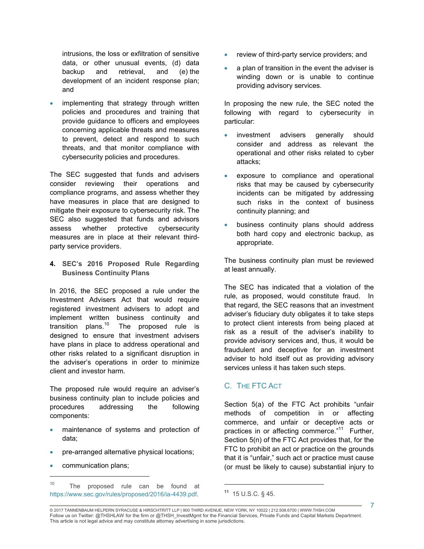intrusions, the loss or exfiltration of sensitive data, or other unusual events, (d) data backup and retrieval, and (e) the development of an incident response plan; and

 implementing that strategy through written policies and procedures and training that provide guidance to officers and employees concerning applicable threats and measures to prevent, detect and respond to such threats, and that monitor compliance with cybersecurity policies and procedures.

The SEC suggested that funds and advisers consider reviewing their operations and compliance programs, and assess whether they have measures in place that are designed to mitigate their exposure to cybersecurity risk. The SEC also suggested that funds and advisors assess whether protective cybersecurity measures are in place at their relevant thirdparty service providers.

**4. SEC's 2016 Proposed Rule Regarding Business Continuity Plans**

In 2016, the SEC proposed a rule under the Investment Advisers Act that would require registered investment advisers to adopt and implement written business continuity and transition plans. $10$  The proposed rule is designed to ensure that investment advisers have plans in place to address operational and other risks related to a significant disruption in the adviser's operations in order to minimize client and investor harm.

The proposed rule would require an adviser's business continuity plan to include policies and procedures addressing the following components:

- maintenance of systems and protection of data;
- pre-arranged alternative physical locations;
- communication plans;

 $\overline{a}$ 

10 The proposed rule can be found at https://www.sec.gov/rules/proposed/2016/ia-4439.pdf.

- review of third-party service providers; and
- a plan of transition in the event the adviser is winding down or is unable to continue providing advisory services.

In proposing the new rule, the SEC noted the following with regard to cybersecurity in particular:

- investment advisers generally should consider and address as relevant the operational and other risks related to cyber attacks;
- exposure to compliance and operational risks that may be caused by cybersecurity incidents can be mitigated by addressing such risks in the context of business continuity planning; and
- business continuity plans should address both hard copy and electronic backup, as appropriate.

The business continuity plan must be reviewed at least annually.

The SEC has indicated that a violation of the rule, as proposed, would constitute fraud. In that regard, the SEC reasons that an investment adviser's fiduciary duty obligates it to take steps to protect client interests from being placed at risk as a result of the adviser's inability to provide advisory services and, thus, it would be fraudulent and deceptive for an investment adviser to hold itself out as providing advisory services unless it has taken such steps.

#### C. THE FTC ACT

Section 5(a) of the FTC Act prohibits "unfair methods of competition in or affecting commerce, and unfair or deceptive acts or practices in or affecting commerce."<sup>11</sup> Further, Section 5(n) of the FTC Act provides that, for the FTC to prohibit an act or practice on the grounds that it is "unfair," such act or practice must cause (or must be likely to cause) substantial injury to

© 2017 TANNENBAUM HELPERN SYRACUSE & HIRSCHTRITT LLP | 900 THIRD AVENUE, NEW YORK, NY 10022 | 212.508.6700 | WWW.THSH.COM Follow us on Twitter: @THSHLAW for the firm or @THSH\_InvestMgmt for the Financial Services, Private Funds and Capital Markets Department. This article is not legal advice and may constitute attorney advertising in some jurisdictions.

**<sup>11</sup>** 15 U.S.C. § 45.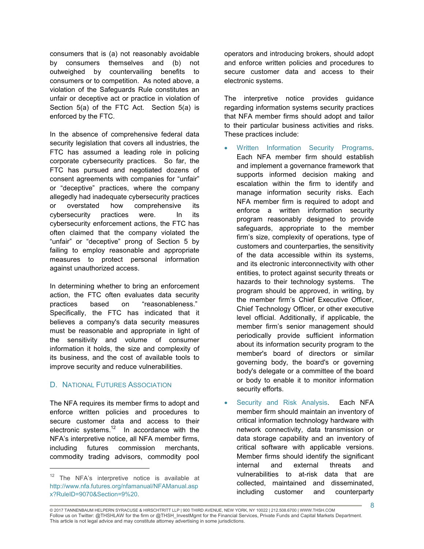consumers that is (a) not reasonably avoidable by consumers themselves and (b) not outweighed by countervailing benefits to consumers or to competition. As noted above, a violation of the Safeguards Rule constitutes an unfair or deceptive act or practice in violation of Section 5(a) of the FTC Act. Section 5(a) is enforced by the FTC.

In the absence of comprehensive federal data security legislation that covers all industries, the FTC has assumed a leading role in policing corporate cybersecurity practices. So far, the FTC has pursued and negotiated dozens of consent agreements with companies for "unfair" or "deceptive" practices, where the company allegedly had inadequate cybersecurity practices or overstated how comprehensive its cybersecurity practices were. In its cybersecurity enforcement actions, the FTC has often claimed that the company violated the "unfair" or "deceptive" prong of Section 5 by failing to employ reasonable and appropriate measures to protect personal information against unauthorized access.

In determining whether to bring an enforcement action, the FTC often evaluates data security practices based on "reasonableness." Specifically, the FTC has indicated that it believes a company's data security measures must be reasonable and appropriate in light of the sensitivity and volume of consumer information it holds, the size and complexity of its business, and the cost of available tools to improve security and reduce vulnerabilities.

#### D. NATIONAL FUTURES ASSOCIATION

 $\overline{a}$ 

The NFA requires its member firms to adopt and enforce written policies and procedures to secure customer data and access to their electronic systems. $12$  In accordance with the NFA's interpretive notice, all NFA member firms, including futures commission merchants, commodity trading advisors, commodity pool

operators and introducing brokers, should adopt and enforce written policies and procedures to secure customer data and access to their electronic systems.

The interpretive notice provides guidance regarding information systems security practices that NFA member firms should adopt and tailor to their particular business activities and risks. These practices include:

- Written Information Security Programs. Each NFA member firm should establish and implement a governance framework that supports informed decision making and escalation within the firm to identify and manage information security risks. Each NFA member firm is required to adopt and enforce a written information security program reasonably designed to provide safeguards, appropriate to the member firm's size, complexity of operations, type of customers and counterparties, the sensitivity of the data accessible within its systems, and its electronic interconnectivity with other entities, to protect against security threats or hazards to their technology systems. The program should be approved, in writing, by the member firm's Chief Executive Officer, Chief Technology Officer, or other executive level official. Additionally, if applicable, the member firm's senior management should periodically provide sufficient information about its information security program to the member's board of directors or similar governing body, the board's or governing body's delegate or a committee of the board or body to enable it to monitor information security efforts.
- Security and Risk Analysis. Each NFA member firm should maintain an inventory of critical information technology hardware with network connectivity, data transmission or data storage capability and an inventory of critical software with applicable versions. Member firms should identify the significant internal and external threats and vulnerabilities to at-risk data that are collected, maintained and disseminated, including customer and counterparty

 $12$  The NFA's interpretive notice is available at http://www.nfa.futures.org/nfamanual/NFAManual.asp x?RuleID=9070&Section=9%20.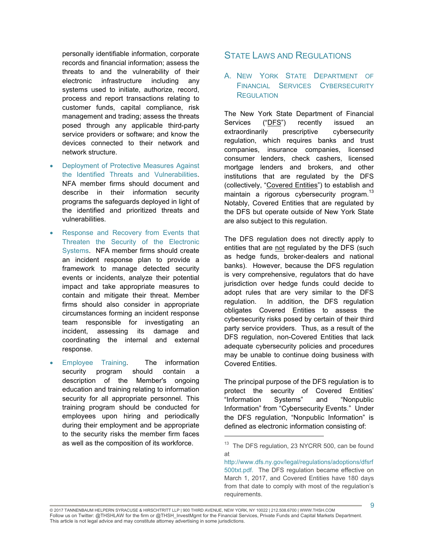personally identifiable information, corporate records and financial information; assess the threats to and the vulnerability of their electronic infrastructure including any systems used to initiate, authorize, record, process and report transactions relating to customer funds, capital compliance, risk management and trading; assess the threats posed through any applicable third-party service providers or software; and know the devices connected to their network and network structure.

- Deployment of Protective Measures Against the Identified Threats and Vulnerabilities. NFA member firms should document and describe in their information security programs the safeguards deployed in light of the identified and prioritized threats and vulnerabilities.
- Response and Recovery from Events that Threaten the Security of the Electronic Systems. NFA member firms should create an incident response plan to provide a framework to manage detected security events or incidents, analyze their potential impact and take appropriate measures to contain and mitigate their threat. Member firms should also consider in appropriate circumstances forming an incident response team responsible for investigating an incident, assessing its damage and coordinating the internal and external response.
- Employee Training. The information security program should contain a description of the Member's ongoing education and training relating to information security for all appropriate personnel. This training program should be conducted for employees upon hiring and periodically during their employment and be appropriate to the security risks the member firm faces as well as the composition of its workforce.

## STATE LAWS AND REGULATIONS

## A. NEW YORK STATE DEPARTMENT OF FINANCIAL SERVICES CYBERSECURITY **REGULATION**

The New York State Department of Financial Services ("DFS") recently issued an extraordinarily prescriptive cybersecurity regulation, which requires banks and trust companies, insurance companies, licensed consumer lenders, check cashers, licensed mortgage lenders and brokers, and other institutions that are regulated by the DFS (collectively, "Covered Entities") to establish and maintain a rigorous cybersecurity program. $^{13}$ Notably, Covered Entities that are regulated by the DFS but operate outside of New York State are also subject to this regulation.

The DFS regulation does not directly apply to entities that are not regulated by the DFS (such as hedge funds, broker-dealers and national banks). However, because the DFS regulation is very comprehensive, regulators that do have jurisdiction over hedge funds could decide to adopt rules that are very similar to the DFS regulation. In addition, the DFS regulation obligates Covered Entities to assess the cybersecurity risks posed by certain of their third party service providers. Thus, as a result of the DFS regulation, non-Covered Entities that lack adequate cybersecurity policies and procedures may be unable to continue doing business with Covered Entities.

The principal purpose of the DFS regulation is to protect the security of Covered Entities' "Information Systems" and "Nonpublic Information" from "Cybersecurity Events." Under the DFS regulation, "Nonpublic Information" is defined as electronic information consisting of:

<sup>&</sup>lt;sup>13</sup> The DFS regulation, 23 NYCRR 500, can be found at

http://www.dfs.ny.gov/legal/regulations/adoptions/dfsrf 500txt.pdf. The DFS regulation became effective on March 1, 2017, and Covered Entities have 180 days from that date to comply with most of the regulation's requirements.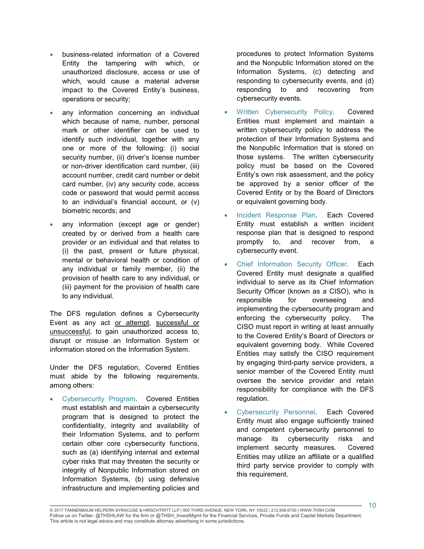- business-related information of a Covered Entity the tampering with which, or unauthorized disclosure, access or use of which, would cause a material adverse impact to the Covered Entity's business, operations or security;
- any information concerning an individual which because of name, number, personal mark or other identifier can be used to identify such individual, together with any one or more of the following: (i) social security number, (ii) driver's license number or non-driver identification card number, (iii) account number, credit card number or debit card number, (iv) any security code, access code or password that would permit access to an individual's financial account, or (v) biometric records; and
- any information (except age or gender) created by or derived from a health care provider or an individual and that relates to (i) the past, present or future physical, mental or behavioral health or condition of any individual or family member, (ii) the provision of health care to any individual, or (iii) payment for the provision of health care to any individual.

The DFS regulation defines a Cybersecurity Event as any act or attempt, successful or unsuccessful, to gain unauthorized access to, disrupt or misuse an Information System or information stored on the Information System.

Under the DFS regulation, Covered Entities must abide by the following requirements, among others:

 Cybersecurity Program. Covered Entities must establish and maintain a cybersecurity program that is designed to protect the confidentiality, integrity and availability of their Information Systems, and to perform certain other core cybersecurity functions, such as (a) identifying internal and external cyber risks that may threaten the security or integrity of Nonpublic Information stored on Information Systems, (b) using defensive infrastructure and implementing policies and

procedures to protect Information Systems and the Nonpublic Information stored on the Information Systems, (c) detecting and responding to cybersecurity events, and (d) responding to and recovering from cybersecurity events.

- Written Cybersecurity Policy. Covered Entities must implement and maintain a written cybersecurity policy to address the protection of their Information Systems and the Nonpublic Information that is stored on those systems. The written cybersecurity policy must be based on the Covered Entity's own risk assessment, and the policy be approved by a senior officer of the Covered Entity or by the Board of Directors or equivalent governing body.
- Incident Response Plan. Each Covered Entity must establish a written incident response plan that is designed to respond promptly to, and recover from, a cybersecurity event.
- Chief Information Security Officer. Each Covered Entity must designate a qualified individual to serve as its Chief Information Security Officer (known as a CISO), who is responsible for overseeing and implementing the cybersecurity program and enforcing the cybersecurity policy. The CISO must report in writing at least annually to the Covered Entity's Board of Directors or equivalent governing body. While Covered Entities may satisfy the CISO requirement by engaging third-party service providers, a senior member of the Covered Entity must oversee the service provider and retain responsibility for compliance with the DFS regulation.
- Cybersecurity Personnel. Each Covered Entity must also engage sufficiently trained and competent cybersecurity personnel to manage its cybersecurity risks and implement security measures. Covered Entities may utilize an affiliate or a qualified third party service provider to comply with this requirement.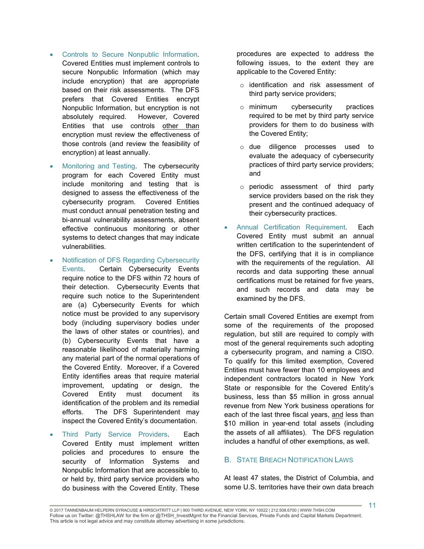- Controls to Secure Nonpublic Information. Covered Entities must implement controls to secure Nonpublic Information (which may include encryption) that are appropriate based on their risk assessments. The DFS prefers that Covered Entities encrypt Nonpublic Information, but encryption is not absolutely required. However, Covered Entities that use controls other than encryption must review the effectiveness of those controls (and review the feasibility of encryption) at least annually.
- Monitoring and Testing. The cybersecurity program for each Covered Entity must include monitoring and testing that is designed to assess the effectiveness of the cybersecurity program. Covered Entities must conduct annual penetration testing and bi-annual vulnerability assessments, absent effective continuous monitoring or other systems to detect changes that may indicate vulnerabilities.
- Notification of DFS Regarding Cybersecurity Events. Certain Cybersecurity Events require notice to the DFS within 72 hours of their detection. Cybersecurity Events that require such notice to the Superintendent are (a) Cybersecurity Events for which notice must be provided to any supervisory body (including supervisory bodies under the laws of other states or countries), and (b) Cybersecurity Events that have a reasonable likelihood of materially harming any material part of the normal operations of the Covered Entity. Moreover, if a Covered Entity identifies areas that require material improvement, updating or design, the Covered Entity must document its identification of the problem and its remedial efforts. The DFS Superintendent may inspect the Covered Entity's documentation.
- Third Party Service Providers. Each Covered Entity must implement written policies and procedures to ensure the security of Information Systems and Nonpublic Information that are accessible to, or held by, third party service providers who do business with the Covered Entity. These

procedures are expected to address the following issues, to the extent they are applicable to the Covered Entity:

- o identification and risk assessment of third party service providers;
- o minimum cybersecurity practices required to be met by third party service providers for them to do business with the Covered Entity;
- o due diligence processes used to evaluate the adequacy of cybersecurity practices of third party service providers; and
- o periodic assessment of third party service providers based on the risk they present and the continued adequacy of their cybersecurity practices.
- Annual Certification Requirement. Each Covered Entity must submit an annual written certification to the superintendent of the DFS, certifying that it is in compliance with the requirements of the regulation. All records and data supporting these annual certifications must be retained for five years, and such records and data may be examined by the DFS.

Certain small Covered Entities are exempt from some of the requirements of the proposed regulation, but still are required to comply with most of the general requirements such adopting a cybersecurity program, and naming a CISO. To qualify for this limited exemption, Covered Entities must have fewer than 10 employees and independent contractors located in New York State or responsible for the Covered Entity's business, less than \$5 million in gross annual revenue from New York business operations for each of the last three fiscal years, and less than \$10 million in year-end total assets (including the assets of all affiliates). The DFS regulation includes a handful of other exemptions, as well.

#### **B.** STATE BREACH NOTIFICATION LAWS

At least 47 states, the District of Columbia, and some U.S. territories have their own data breach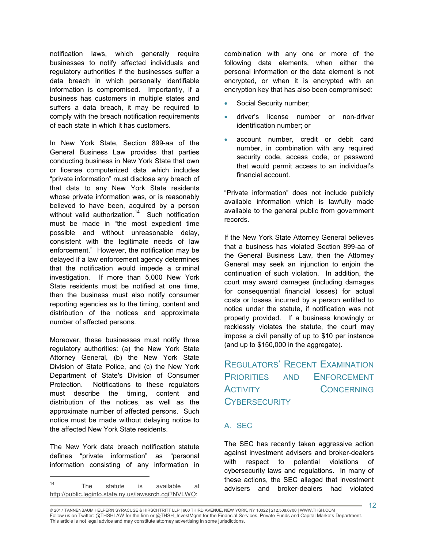notification laws, which generally require businesses to notify affected individuals and regulatory authorities if the businesses suffer a data breach in which personally identifiable information is compromised. Importantly, if a business has customers in multiple states and suffers a data breach, it may be required to comply with the breach notification requirements of each state in which it has customers.

In New York State, Section 899-aa of the General Business Law provides that parties conducting business in New York State that own or license computerized data which includes "private information" must disclose any breach of that data to any New York State residents whose private information was, or is reasonably believed to have been, acquired by a person without valid authorization.<sup>14</sup> Such notification must be made in "the most expedient time possible and without unreasonable delay, consistent with the legitimate needs of law enforcement." However, the notification may be delayed if a law enforcement agency determines that the notification would impede a criminal investigation. If more than 5,000 New York State residents must be notified at one time, then the business must also notify consumer reporting agencies as to the timing, content and distribution of the notices and approximate number of affected persons.

Moreover, these businesses must notify three regulatory authorities: (a) the New York State Attorney General, (b) the New York State Division of State Police, and (c) the New York Department of State's Division of Consumer Protection. Notifications to these regulators must describe the timing, content and distribution of the notices, as well as the approximate number of affected persons. Such notice must be made without delaying notice to the affected New York State residents.

The New York data breach notification statute defines "private information" as "personal information consisting of any information in

 $\overline{a}$ 

combination with any one or more of the following data elements, when either the personal information or the data element is not encrypted, or when it is encrypted with an encryption key that has also been compromised:

- Social Security number;
- driver's license number or non-driver identification number; or
- account number, credit or debit card number, in combination with any required security code, access code, or password that would permit access to an individual's financial account.

"Private information" does not include publicly available information which is lawfully made available to the general public from government records.

If the New York State Attorney General believes that a business has violated Section 899-aa of the General Business Law, then the Attorney General may seek an injunction to enjoin the continuation of such violation. In addition, the court may award damages (including damages for consequential financial losses) for actual costs or losses incurred by a person entitled to notice under the statute, if notification was not properly provided. If a business knowingly or recklessly violates the statute, the court may impose a civil penalty of up to \$10 per instance (and up to \$150,000 in the aggregate).

## REGULATORS' RECENT EXAMINATION PRIORITIES AND ENFORCEMENT ACTIVITY CONCERNING **CYBERSECURITY**

#### A. SEC

The SEC has recently taken aggressive action against investment advisers and broker-dealers with respect to potential violations of cybersecurity laws and regulations. In many of these actions, the SEC alleged that investment advisers and broker-dealers had violated

<sup>14</sup> The statute is available at http://public.leginfo.state.ny.us/lawssrch.cgi?NVLWO: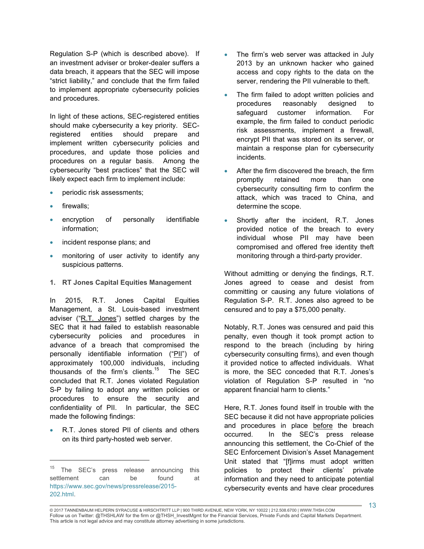Regulation S-P (which is described above). If an investment adviser or broker-dealer suffers a data breach, it appears that the SEC will impose "strict liability," and conclude that the firm failed to implement appropriate cybersecurity policies and procedures.

In light of these actions, SEC-registered entities should make cybersecurity a key priority. SECregistered entities should prepare and implement written cybersecurity policies and procedures, and update those policies and procedures on a regular basis. Among the cybersecurity "best practices" that the SEC will likely expect each firm to implement include:

- periodic risk assessments;
- firewalls;

 $\overline{a}$ 

- encryption of personally identifiable information;
- incident response plans; and
- monitoring of user activity to identify any suspicious patterns.
- **1. RT Jones Capital Equities Management**

In 2015, R.T. Jones Capital Equities Management, a St. Louis-based investment adviser ("R.T. Jones") settled charges by the SEC that it had failed to establish reasonable cybersecurity policies and procedures in advance of a breach that compromised the personally identifiable information ("PII") of approximately 100,000 individuals, including thousands of the firm's clients.<sup>15</sup> The SEC concluded that R.T. Jones violated Regulation S-P by failing to adopt any written policies or procedures to ensure the security and confidentiality of PII. In particular, the SEC made the following findings:

 R.T. Jones stored PII of clients and others on its third party-hosted web server.

- The firm's web server was attacked in July 2013 by an unknown hacker who gained access and copy rights to the data on the server, rendering the PII vulnerable to theft.
- The firm failed to adopt written policies and procedures reasonably designed to safeguard customer information. For example, the firm failed to conduct periodic risk assessments, implement a firewall, encrypt PII that was stored on its server, or maintain a response plan for cybersecurity incidents.
- After the firm discovered the breach, the firm promptly retained more than one cybersecurity consulting firm to confirm the attack, which was traced to China, and determine the scope.
- Shortly after the incident, R.T. Jones provided notice of the breach to every individual whose PII may have been compromised and offered free identity theft monitoring through a third-party provider.

Without admitting or denying the findings, R.T. Jones agreed to cease and desist from committing or causing any future violations of Regulation S-P. R.T. Jones also agreed to be censured and to pay a \$75,000 penalty.

Notably, R.T. Jones was censured and paid this penalty, even though it took prompt action to respond to the breach (including by hiring cybersecurity consulting firms), and even though it provided notice to affected individuals. What is more, the SEC conceded that R.T. Jones's violation of Regulation S-P resulted in "no apparent financial harm to clients."

Here, R.T. Jones found itself in trouble with the SEC because it did not have appropriate policies and procedures in place before the breach occurred. In the SEC's press release announcing this settlement, the Co-Chief of the SEC Enforcement Division's Asset Management Unit stated that "[f]irms must adopt written policies to protect their clients' private information and they need to anticipate potential cybersecurity events and have clear procedures

<sup>&</sup>lt;sup>15</sup> The SEC's press release announcing this settlement can be found at https://www.sec.gov/news/pressrelease/2015- 202.html.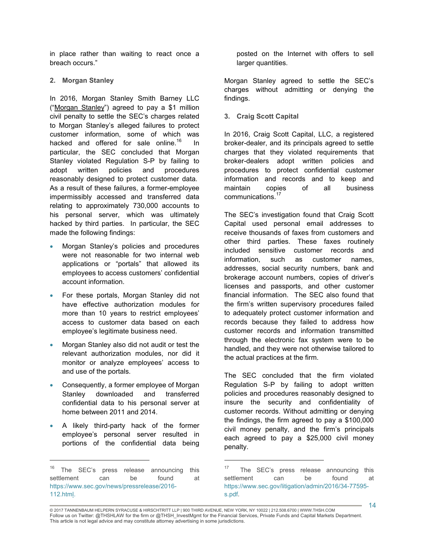in place rather than waiting to react once a breach occurs."

#### **2. Morgan Stanley**

In 2016, Morgan Stanley Smith Barney LLC ("Morgan Stanley") agreed to pay a \$1 million civil penalty to settle the SEC's charges related to Morgan Stanley's alleged failures to protect customer information, some of which was hacked and offered for sale online.<sup>16</sup> In particular, the SEC concluded that Morgan Stanley violated Regulation S-P by failing to adopt written policies and procedures reasonably designed to protect customer data. As a result of these failures, a former-employee impermissibly accessed and transferred data relating to approximately 730,000 accounts to his personal server, which was ultimately hacked by third parties. In particular, the SEC made the following findings:

- Morgan Stanley's policies and procedures were not reasonable for two internal web applications or "portals" that allowed its employees to access customers' confidential account information.
- For these portals, Morgan Stanley did not have effective authorization modules for more than 10 years to restrict employees' access to customer data based on each employee's legitimate business need.
- Morgan Stanley also did not audit or test the relevant authorization modules, nor did it monitor or analyze employees' access to and use of the portals.
- Consequently, a former employee of Morgan Stanley downloaded and transferred confidential data to his personal server at home between 2011 and 2014.
- A likely third-party hack of the former employee's personal server resulted in portions of the confidential data being

 $\overline{a}$ 

posted on the Internet with offers to sell larger quantities.

Morgan Stanley agreed to settle the SEC's charges without admitting or denying the findings.

**3. Craig Scott Capital**

In 2016, Craig Scott Capital, LLC, a registered broker-dealer, and its principals agreed to settle charges that they violated requirements that broker-dealers adopt written policies and procedures to protect confidential customer information and records and to keep and maintain copies of all business communications.<sup>17</sup>

The SEC's investigation found that Craig Scott Capital used personal email addresses to receive thousands of faxes from customers and other third parties. These faxes routinely included sensitive customer records and information, such as customer names, addresses, social security numbers, bank and brokerage account numbers, copies of driver's licenses and passports, and other customer financial information. The SEC also found that the firm's written supervisory procedures failed to adequately protect customer information and records because they failed to address how customer records and information transmitted through the electronic fax system were to be handled, and they were not otherwise tailored to the actual practices at the firm.

The SEC concluded that the firm violated Regulation S-P by failing to adopt written policies and procedures reasonably designed to insure the security and confidentiality of customer records. Without admitting or denying the findings, the firm agreed to pay a \$100,000 civil money penalty, and the firm's principals each agreed to pay a \$25,000 civil money penalty.

<sup>&</sup>lt;sup>16</sup> The SEC's press release announcing this settlement can be found at https://www.sec.gov/news/pressrelease/2016- 112.html.

<sup>17</sup> The SEC's press release announcing this settlement can be found at https://www.sec.gov/litigation/admin/2016/34-77595 s.pdf.

<sup>© 2017</sup> TANNENBAUM HELPERN SYRACUSE & HIRSCHTRITT LLP | 900 THIRD AVENUE, NEW YORK, NY 10022 | 212.508.6700 | WWW.THSH.COM Follow us on Twitter: @THSHLAW for the firm or @THSH\_InvestMgmt for the Financial Services, Private Funds and Capital Markets Department. This article is not legal advice and may constitute attorney advertising in some jurisdictions.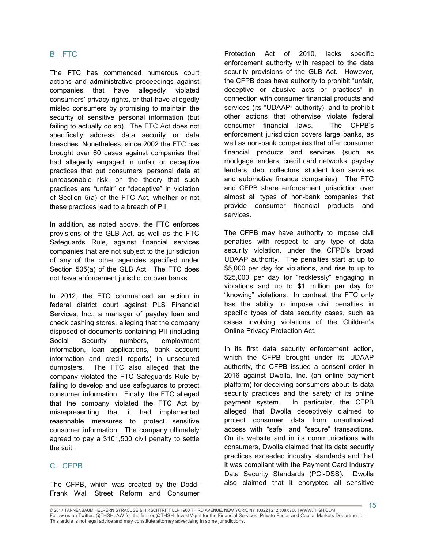#### B. FTC

The FTC has commenced numerous court actions and administrative proceedings against companies that have allegedly violated consumers' privacy rights, or that have allegedly misled consumers by promising to maintain the security of sensitive personal information (but failing to actually do so). The FTC Act does not specifically address data security or data breaches. Nonetheless, since 2002 the FTC has brought over 60 cases against companies that had allegedly engaged in unfair or deceptive practices that put consumers' personal data at unreasonable risk, on the theory that such practices are "unfair" or "deceptive" in violation of Section 5(a) of the FTC Act, whether or not these practices lead to a breach of PII.

In addition, as noted above, the FTC enforces provisions of the GLB Act, as well as the FTC Safeguards Rule, against financial services companies that are not subject to the jurisdiction of any of the other agencies specified under Section 505(a) of the GLB Act. The FTC does not have enforcement jurisdiction over banks.

In 2012, the FTC commenced an action in federal district court against PLS Financial Services, Inc., a manager of payday loan and check cashing stores, alleging that the company disposed of documents containing PII (including Social Security numbers, employment information, loan applications, bank account information and credit reports) in unsecured dumpsters. The FTC also alleged that the company violated the FTC Safeguards Rule by failing to develop and use safeguards to protect consumer information. Finally, the FTC alleged that the company violated the FTC Act by misrepresenting that it had implemented reasonable measures to protect sensitive consumer information. The company ultimately agreed to pay a \$101,500 civil penalty to settle the suit.

#### C. CFPB

The CFPB, which was created by the Dodd-Frank Wall Street Reform and Consumer Protection Act of 2010, lacks specific enforcement authority with respect to the data security provisions of the GLB Act. However, the CFPB does have authority to prohibit "unfair, deceptive or abusive acts or practices" in connection with consumer financial products and services (its "UDAAP" authority), and to prohibit other actions that otherwise violate federal consumer financial laws. The CFPB's enforcement jurisdiction covers large banks, as well as non-bank companies that offer consumer financial products and services (such as mortgage lenders, credit card networks, payday lenders, debt collectors, student loan services and automotive finance companies). The FTC and CFPB share enforcement jurisdiction over almost all types of non-bank companies that provide consumer financial products and services.

The CFPB may have authority to impose civil penalties with respect to any type of data security violation, under the CFPB's broad UDAAP authority. The penalties start at up to \$5,000 per day for violations, and rise to up to \$25,000 per day for "recklessly" engaging in violations and up to \$1 million per day for "knowing" violations. In contrast, the FTC only has the ability to impose civil penalties in specific types of data security cases, such as cases involving violations of the Children's Online Privacy Protection Act.

In its first data security enforcement action, which the CFPB brought under its UDAAP authority, the CFPB issued a consent order in 2016 against Dwolla, Inc. (an online payment platform) for deceiving consumers about its data security practices and the safety of its online payment system. In particular, the CFPB alleged that Dwolla deceptively claimed to protect consumer data from unauthorized access with "safe" and "secure" transactions. On its website and in its communications with consumers, Dwolla claimed that its data security practices exceeded industry standards and that it was compliant with the Payment Card Industry Data Security Standards (PCI-DSS). Dwolla also claimed that it encrypted all sensitive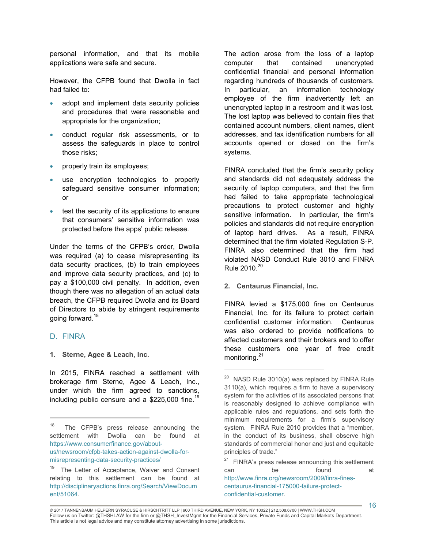personal information, and that its mobile applications were safe and secure.

However, the CFPB found that Dwolla in fact had failed to:

- adopt and implement data security policies and procedures that were reasonable and appropriate for the organization;
- conduct regular risk assessments, or to assess the safeguards in place to control those risks;
- properly train its employees;
- use encryption technologies to properly safeguard sensitive consumer information; or
- test the security of its applications to ensure that consumers' sensitive information was protected before the apps' public release.

Under the terms of the CFPB's order, Dwolla was required (a) to cease misrepresenting its data security practices, (b) to train employees and improve data security practices, and (c) to pay a \$100,000 civil penalty. In addition, even though there was no allegation of an actual data breach, the CFPB required Dwolla and its Board of Directors to abide by stringent requirements going forward.<sup>18</sup>

#### D. FINRA

 $\overline{a}$ 

**1. Sterne, Agee & Leach, Inc.**

In 2015, FINRA reached a settlement with brokerage firm Sterne, Agee & Leach, Inc., under which the firm agreed to sanctions, including public censure and a \$225,000 fine.<sup>19</sup> The action arose from the loss of a laptop computer that contained unencrypted confidential financial and personal information regarding hundreds of thousands of customers. In particular, an information technology employee of the firm inadvertently left an unencrypted laptop in a restroom and it was lost. The lost laptop was believed to contain files that contained account numbers, client names, client addresses, and tax identification numbers for all accounts opened or closed on the firm's systems.

FINRA concluded that the firm's security policy and standards did not adequately address the security of laptop computers, and that the firm had failed to take appropriate technological precautions to protect customer and highly sensitive information. In particular, the firm's policies and standards did not require encryption of laptop hard drives. As a result, FINRA determined that the firm violated Regulation S-P. FINRA also determined that the firm had violated NASD Conduct Rule 3010 and FINRA Rule  $2010^{20}$ 

**2. Centaurus Financial, Inc.**

FINRA levied a \$175,000 fine on Centaurus Financial, Inc. for its failure to protect certain confidential customer information. Centaurus was also ordered to provide notifications to affected customers and their brokers and to offer these customers one year of free credit monitoring.<sup>21</sup>

<sup>18</sup> The CFPB's press release announcing the settlement with Dwolla can be found at https://www.consumerfinance.gov/aboutus/newsroom/cfpb-takes-action-against-dwolla-formisrepresenting-data-security-practices/

<sup>19</sup> The Letter of Acceptance, Waiver and Consent relating to this settlement can be found at http://disciplinaryactions.finra.org/Search/ViewDocum ent/51064.

 $20$  NASD Rule 3010(a) was replaced by FINRA Rule 3110(a), which requires a firm to have a supervisory system for the activities of its associated persons that is reasonably designed to achieve compliance with applicable rules and regulations, and sets forth the minimum requirements for a firm's supervisory system. FINRA Rule 2010 provides that a "member, in the conduct of its business, shall observe high standards of commercial honor and just and equitable principles of trade."

<sup>&</sup>lt;sup>21</sup> FINRA's press release announcing this settlement can be found at http://www.finra.org/newsroom/2009/finra-finescentaurus-financial-175000-failure-protectconfidential-customer.

<sup>© 2017</sup> TANNENBAUM HELPERN SYRACUSE & HIRSCHTRITT LLP | 900 THIRD AVENUE, NEW YORK, NY 10022 | 212.508.6700 | WWW.THSH.COM Follow us on Twitter: @THSHLAW for the firm or @THSH\_InvestMgmt for the Financial Services, Private Funds and Capital Markets Department. This article is not legal advice and may constitute attorney advertising in some jurisdictions.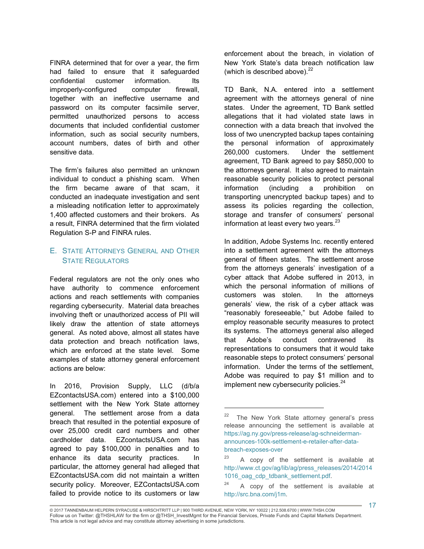FINRA determined that for over a year, the firm had failed to ensure that it safeguarded confidential customer information. Its improperly-configured computer firewall, together with an ineffective username and password on its computer facsimile server, permitted unauthorized persons to access documents that included confidential customer information, such as social security numbers, account numbers, dates of birth and other sensitive data.

The firm's failures also permitted an unknown individual to conduct a phishing scam. When the firm became aware of that scam, it conducted an inadequate investigation and sent a misleading notification letter to approximately 1,400 affected customers and their brokers. As a result, FINRA determined that the firm violated Regulation S-P and FINRA rules.

## E. STATE ATTORNEYS GENERAL AND OTHER STATE REGULATORS

Federal regulators are not the only ones who have authority to commence enforcement actions and reach settlements with companies regarding cybersecurity. Material data breaches involving theft or unauthorized access of PII will likely draw the attention of state attorneys general. As noted above, almost all states have data protection and breach notification laws, which are enforced at the state level. Some examples of state attorney general enforcement actions are below:

In 2016, Provision Supply, LLC (d/b/a EZcontactsUSA.com) entered into a \$100,000 settlement with the New York State attorney general. The settlement arose from a data breach that resulted in the potential exposure of over 25,000 credit card numbers and other cardholder data. EZcontactsUSA.com has agreed to pay \$100,000 in penalties and to enhance its data security practices. In particular, the attorney general had alleged that EZcontactsUSA.com did not maintain a written security policy. Moreover, EZContactsUSA.com failed to provide notice to its customers or law

enforcement about the breach, in violation of New York State's data breach notification law (which is described above). $^{22}$ 

TD Bank, N.A. entered into a settlement agreement with the attorneys general of nine states. Under the agreement, TD Bank settled allegations that it had violated state laws in connection with a data breach that involved the loss of two unencrypted backup tapes containing the personal information of approximately 260,000 customers. Under the settlement agreement, TD Bank agreed to pay \$850,000 to the attorneys general. It also agreed to maintain reasonable security policies to protect personal information (including a prohibition on transporting unencrypted backup tapes) and to assess its policies regarding the collection, storage and transfer of consumers' personal information at least every two years. $23$ 

In addition, Adobe Systems Inc. recently entered into a settlement agreement with the attorneys general of fifteen states. The settlement arose from the attorneys generals' investigation of a cyber attack that Adobe suffered in 2013, in which the personal information of millions of customers was stolen. In the attorneys generals' view, the risk of a cyber attack was "reasonably foreseeable," but Adobe failed to employ reasonable security measures to protect its systems. The attorneys general also alleged that Adobe's conduct contravened its representations to consumers that it would take reasonable steps to protect consumers' personal information. Under the terms of the settlement, Adobe was required to pay \$1 million and to implement new cybersecurity policies.<sup>24</sup>

<sup>22</sup> The New York State attorney general's press release announcing the settlement is available at https://ag.ny.gov/press-release/ag-schneidermanannounces-100k-settlement-e-retailer-after-databreach-exposes-over

<sup>23</sup> A copy of the settlement is available at http://www.ct.gov/ag/lib/ag/press\_releases/2014/2014 1016\_oag\_cdp\_tdbank\_settlement.pdf.

<sup>24</sup> A copy of the settlement is available at http://src.bna.com/j1m.